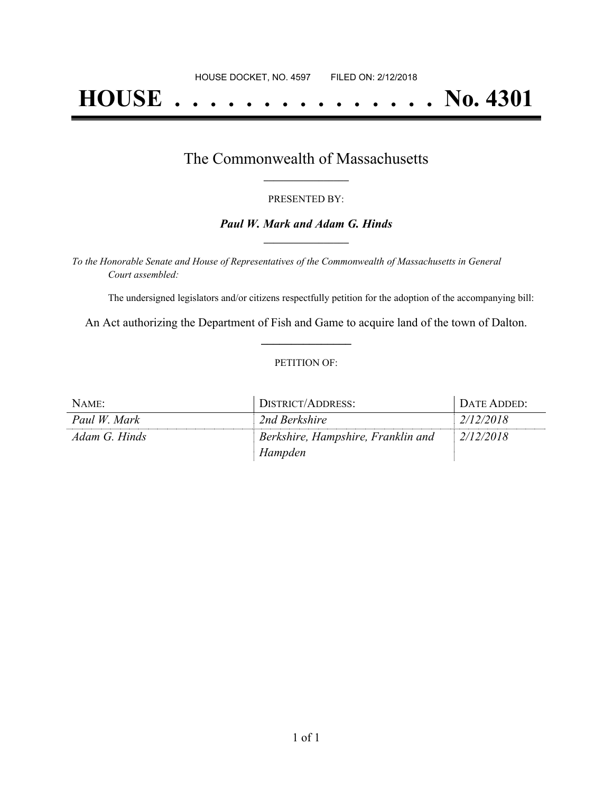# **HOUSE . . . . . . . . . . . . . . . No. 4301**

### The Commonwealth of Massachusetts **\_\_\_\_\_\_\_\_\_\_\_\_\_\_\_\_\_**

#### PRESENTED BY:

#### *Paul W. Mark and Adam G. Hinds* **\_\_\_\_\_\_\_\_\_\_\_\_\_\_\_\_\_**

*To the Honorable Senate and House of Representatives of the Commonwealth of Massachusetts in General Court assembled:*

The undersigned legislators and/or citizens respectfully petition for the adoption of the accompanying bill:

An Act authorizing the Department of Fish and Game to acquire land of the town of Dalton. **\_\_\_\_\_\_\_\_\_\_\_\_\_\_\_**

#### PETITION OF:

| NAME:         | DISTRICT/ADDRESS:                  | DATE ADDED: |
|---------------|------------------------------------|-------------|
| Paul W. Mark  | 2nd Berkshire                      | 2/12/2018   |
| Adam G. Hinds | Berkshire, Hampshire, Franklin and | 2/12/2018   |
|               | Hampden                            |             |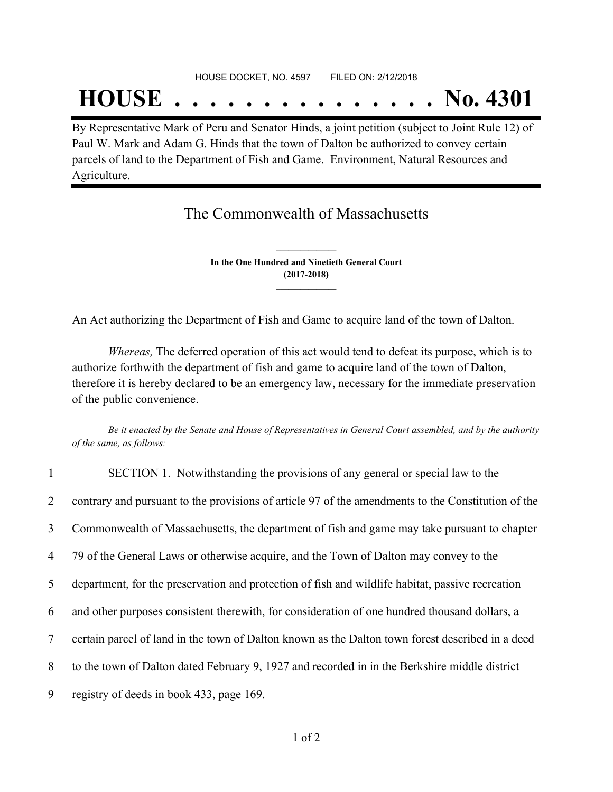## **HOUSE . . . . . . . . . . . . . . . No. 4301**

By Representative Mark of Peru and Senator Hinds, a joint petition (subject to Joint Rule 12) of Paul W. Mark and Adam G. Hinds that the town of Dalton be authorized to convey certain parcels of land to the Department of Fish and Game. Environment, Natural Resources and Agriculture.

## The Commonwealth of Massachusetts

**In the One Hundred and Ninetieth General Court (2017-2018) \_\_\_\_\_\_\_\_\_\_\_\_\_\_\_**

**\_\_\_\_\_\_\_\_\_\_\_\_\_\_\_**

An Act authorizing the Department of Fish and Game to acquire land of the town of Dalton.

*Whereas,* The deferred operation of this act would tend to defeat its purpose, which is to authorize forthwith the department of fish and game to acquire land of the town of Dalton, therefore it is hereby declared to be an emergency law, necessary for the immediate preservation of the public convenience.

Be it enacted by the Senate and House of Representatives in General Court assembled, and by the authority *of the same, as follows:*

| $\mathbf{1}$   | SECTION 1. Notwithstanding the provisions of any general or special law to the                     |
|----------------|----------------------------------------------------------------------------------------------------|
| $\overline{2}$ | contrary and pursuant to the provisions of article 97 of the amendments to the Constitution of the |
| 3              | Commonwealth of Massachusetts, the department of fish and game may take pursuant to chapter        |
| $\overline{4}$ | 79 of the General Laws or otherwise acquire, and the Town of Dalton may convey to the              |
| 5              | department, for the preservation and protection of fish and wildlife habitat, passive recreation   |
| 6              | and other purposes consistent therewith, for consideration of one hundred thousand dollars, a      |
| $\overline{7}$ | certain parcel of land in the town of Dalton known as the Dalton town forest described in a deed   |
| 8              | to the town of Dalton dated February 9, 1927 and recorded in in the Berkshire middle district      |
| 9              | registry of deeds in book 433, page 169.                                                           |